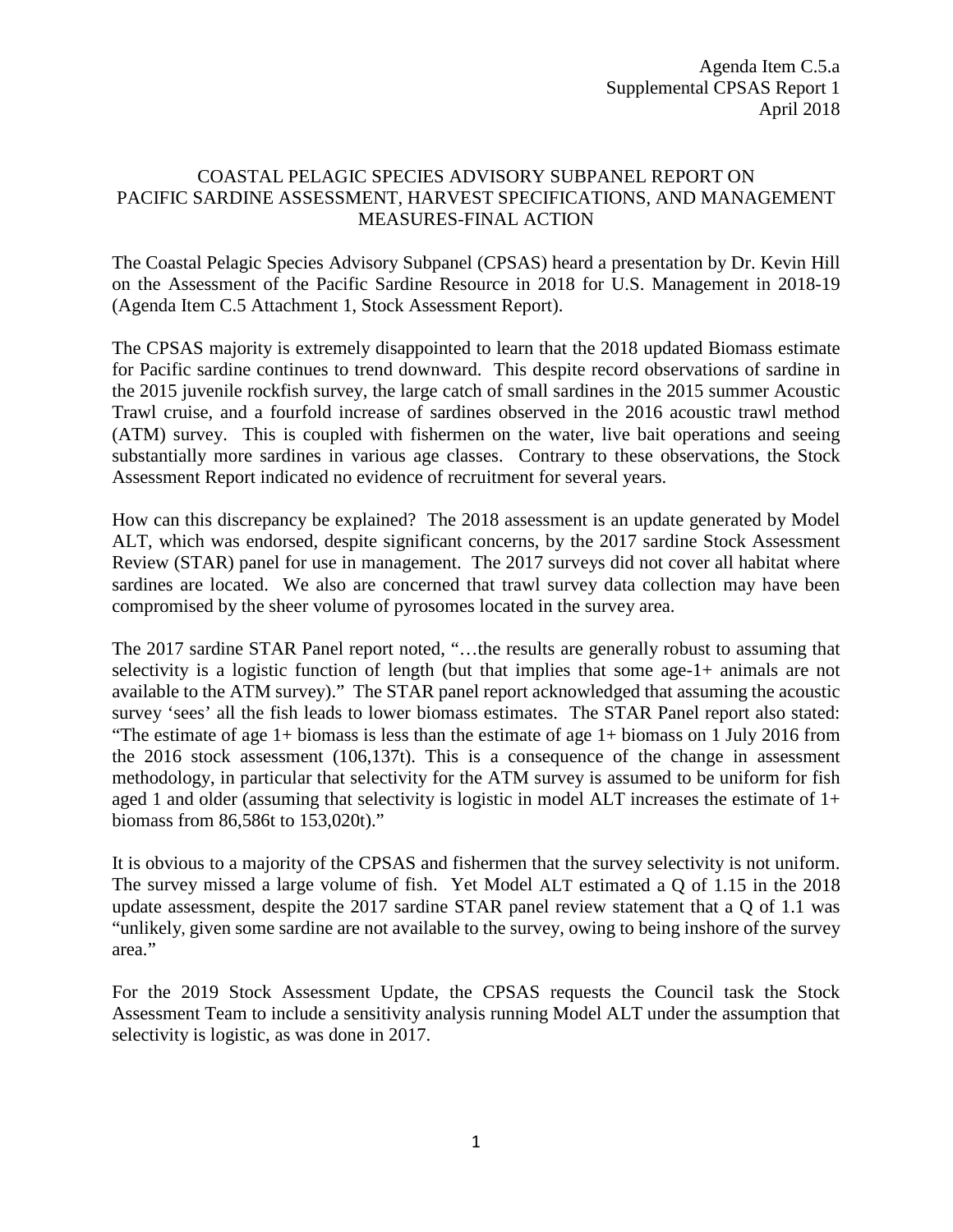Agenda Item C.5.a Supplemental CPSAS Report 1 April 2018

## COASTAL PELAGIC SPECIES ADVISORY SUBPANEL REPORT ON PACIFIC SARDINE ASSESSMENT, HARVEST SPECIFICATIONS, AND MANAGEMENT MEASURES-FINAL ACTION

The Coastal Pelagic Species Advisory Subpanel (CPSAS) heard a presentation by Dr. Kevin Hill on the Assessment of the Pacific Sardine Resource in 2018 for U.S. Management in 2018-19 (Agenda Item C.5 Attachment 1, Stock Assessment Report).

The CPSAS majority is extremely disappointed to learn that the 2018 updated Biomass estimate for Pacific sardine continues to trend downward. This despite record observations of sardine in the 2015 juvenile rockfish survey, the large catch of small sardines in the 2015 summer Acoustic Trawl cruise, and a fourfold increase of sardines observed in the 2016 acoustic trawl method (ATM) survey. This is coupled with fishermen on the water, live bait operations and seeing substantially more sardines in various age classes. Contrary to these observations, the Stock Assessment Report indicated no evidence of recruitment for several years.

How can this discrepancy be explained? The 2018 assessment is an update generated by Model ALT, which was endorsed, despite significant concerns, by the 2017 sardine Stock Assessment Review (STAR) panel for use in management. The 2017 surveys did not cover all habitat where sardines are located. We also are concerned that trawl survey data collection may have been compromised by the sheer volume of pyrosomes located in the survey area.

The 2017 sardine STAR Panel report noted, "…the results are generally robust to assuming that selectivity is a logistic function of length (but that implies that some age-1+ animals are not available to the ATM survey)." The STAR panel report acknowledged that assuming the acoustic survey 'sees' all the fish leads to lower biomass estimates. The STAR Panel report also stated: "The estimate of age  $1+$  biomass is less than the estimate of age  $1+$  biomass on 1 July 2016 from the 2016 stock assessment (106,137t). This is a consequence of the change in assessment methodology, in particular that selectivity for the ATM survey is assumed to be uniform for fish aged 1 and older (assuming that selectivity is logistic in model ALT increases the estimate of 1+ biomass from 86,586t to 153,020t)."

It is obvious to a majority of the CPSAS and fishermen that the survey selectivity is not uniform. The survey missed a large volume of fish. Yet Model ALT estimated a Q of 1.15 in the 2018 update assessment, despite the 2017 sardine STAR panel review statement that a Q of 1.1 was "unlikely, given some sardine are not available to the survey, owing to being inshore of the survey area."

For the 2019 Stock Assessment Update, the CPSAS requests the Council task the Stock Assessment Team to include a sensitivity analysis running Model ALT under the assumption that selectivity is logistic, as was done in 2017.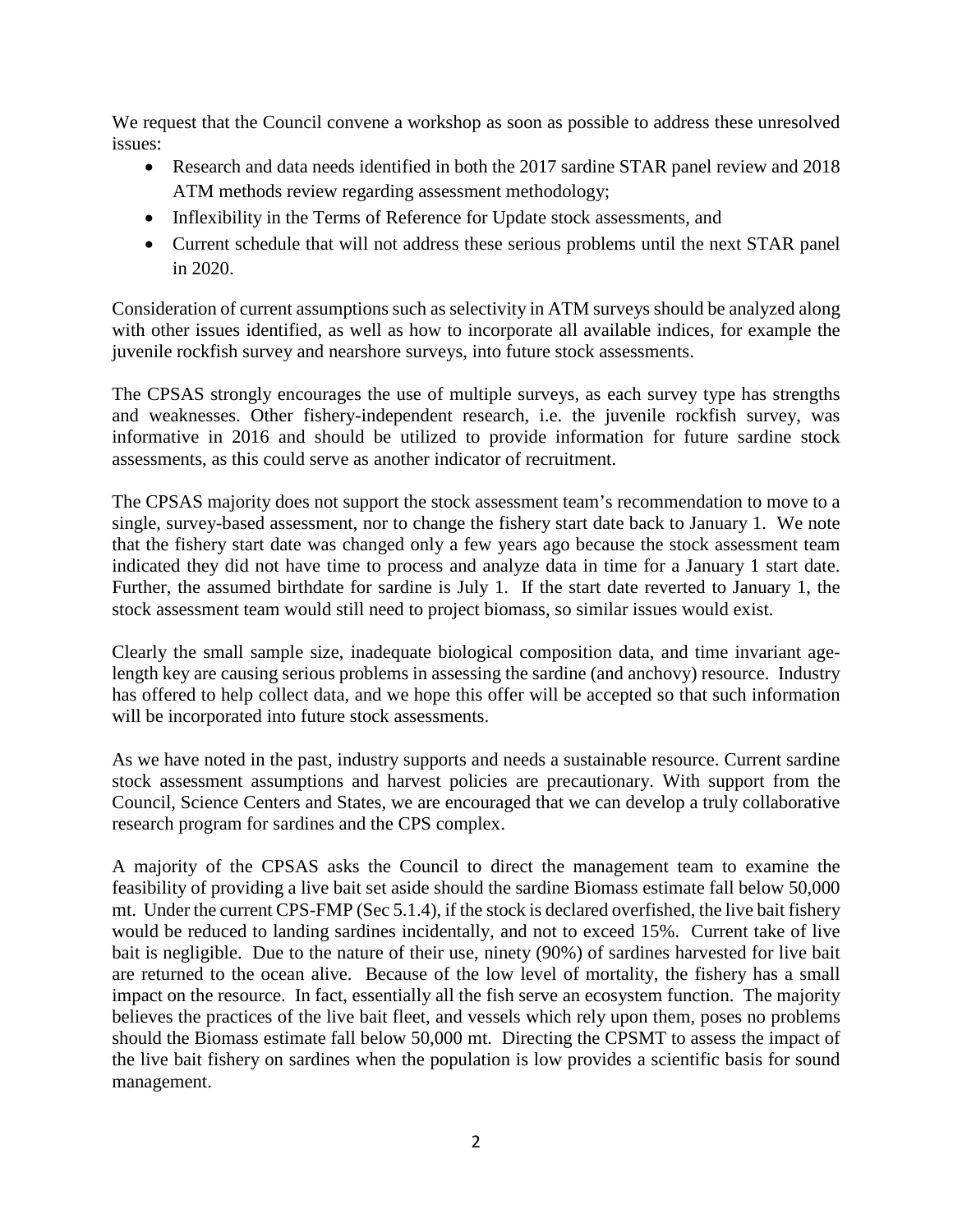We request that the Council convene a workshop as soon as possible to address these unresolved issues:

- Research and data needs identified in both the 2017 sardine STAR panel review and 2018 ATM methods review regarding assessment methodology;
- Inflexibility in the Terms of Reference for Update stock assessments, and
- Current schedule that will not address these serious problems until the next STAR panel in 2020.

Consideration of current assumptions such as selectivity in ATM surveys should be analyzed along with other issues identified, as well as how to incorporate all available indices, for example the juvenile rockfish survey and nearshore surveys, into future stock assessments.

The CPSAS strongly encourages the use of multiple surveys, as each survey type has strengths and weaknesses. Other fishery-independent research, i.e. the juvenile rockfish survey, was informative in 2016 and should be utilized to provide information for future sardine stock assessments, as this could serve as another indicator of recruitment.

The CPSAS majority does not support the stock assessment team's recommendation to move to a single, survey-based assessment, nor to change the fishery start date back to January 1. We note that the fishery start date was changed only a few years ago because the stock assessment team indicated they did not have time to process and analyze data in time for a January 1 start date. Further, the assumed birthdate for sardine is July 1. If the start date reverted to January 1, the stock assessment team would still need to project biomass, so similar issues would exist.

Clearly the small sample size, inadequate biological composition data, and time invariant agelength key are causing serious problems in assessing the sardine (and anchovy) resource. Industry has offered to help collect data, and we hope this offer will be accepted so that such information will be incorporated into future stock assessments.

As we have noted in the past, industry supports and needs a sustainable resource. Current sardine stock assessment assumptions and harvest policies are precautionary. With support from the Council, Science Centers and States, we are encouraged that we can develop a truly collaborative research program for sardines and the CPS complex.

A majority of the CPSAS asks the Council to direct the management team to examine the feasibility of providing a live bait set aside should the sardine Biomass estimate fall below 50,000 mt. Under the current CPS-FMP (Sec 5.1.4), if the stock is declared overfished, the live bait fishery would be reduced to landing sardines incidentally, and not to exceed 15%. Current take of live bait is negligible. Due to the nature of their use, ninety (90%) of sardines harvested for live bait are returned to the ocean alive. Because of the low level of mortality, the fishery has a small impact on the resource. In fact, essentially all the fish serve an ecosystem function. The majority believes the practices of the live bait fleet, and vessels which rely upon them, poses no problems should the Biomass estimate fall below 50,000 mt. Directing the CPSMT to assess the impact of the live bait fishery on sardines when the population is low provides a scientific basis for sound management.